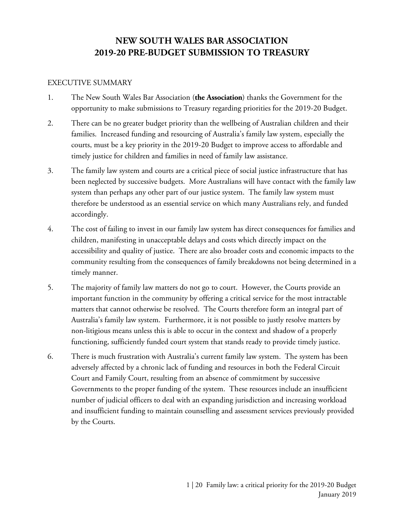# **NEW SOUTH WALES BAR ASSOCIATION 2019-20 PRE-BUDGET SUBMISSION TO TREASURY**

#### EXECUTIVE SUMMARY

- 1. The New South Wales Bar Association (**the Association**) thanks the Government for the opportunity to make submissions to Treasury regarding priorities for the 2019-20 Budget.
- 2. There can be no greater budget priority than the wellbeing of Australian children and their families. Increased funding and resourcing of Australia's family law system, especially the courts, must be a key priority in the 2019-20 Budget to improve access to affordable and timely justice for children and families in need of family law assistance.
- 3. The family law system and courts are a critical piece of social justice infrastructure that has been neglected by successive budgets. More Australians will have contact with the family law system than perhaps any other part of our justice system. The family law system must therefore be understood as an essential service on which many Australians rely, and funded accordingly.
- 4. The cost of failing to invest in our family law system has direct consequences for families and children, manifesting in unacceptable delays and costs which directly impact on the accessibility and quality of justice. There are also broader costs and economic impacts to the community resulting from the consequences of family breakdowns not being determined in a timely manner.
- 5. The majority of family law matters do not go to court. However, the Courts provide an important function in the community by offering a critical service for the most intractable matters that cannot otherwise be resolved. The Courts therefore form an integral part of Australia's family law system. Furthermore, it is not possible to justly resolve matters by non-litigious means unless this is able to occur in the context and shadow of a properly functioning, sufficiently funded court system that stands ready to provide timely justice.
- <span id="page-0-0"></span>6. There is much frustration with Australia's current family law system. The system has been adversely affected by a chronic lack of funding and resources in both the Federal Circuit Court and Family Court, resulting from an absence of commitment by successive Governments to the proper funding of the system. These resources include an insufficient number of judicial officers to deal with an expanding jurisdiction and increasing workload and insufficient funding to maintain counselling and assessment services previously provided by the Courts.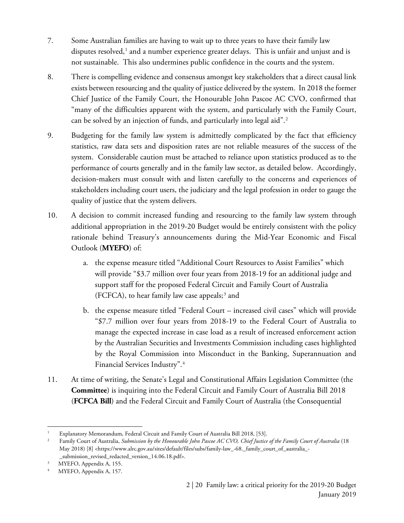- 7. Some Australian families are having to wait up to three years to have their family law disputes resolved,<sup>[1](#page-0-0)</sup> and a number experience greater delays. This is unfair and unjust and is not sustainable. This also undermines public confidence in the courts and the system.
- 8. There is compelling evidence and consensus amongst key stakeholders that a direct causal link exists between resourcing and the quality of justice delivered by the system. In 2018 the former Chief Justice of the Family Court, the Honourable John Pascoe AC CVO, confirmed that "many of the difficulties apparent with the system, and particularly with the Family Court, can be solved by an injection of funds, and particularly into legal aid".<sup>[2](#page-1-0)</sup>
- 9. Budgeting for the family law system is admittedly complicated by the fact that efficiency statistics, raw data sets and disposition rates are not reliable measures of the success of the system. Considerable caution must be attached to reliance upon statistics produced as to the performance of courts generally and in the family law sector, as detailed below. Accordingly, decision-makers must consult with and listen carefully to the concerns and experiences of stakeholders including court users, the judiciary and the legal profession in order to gauge the quality of justice that the system delivers.
- 10. A decision to commit increased funding and resourcing to the family law system through additional appropriation in the 2019-20 Budget would be entirely consistent with the policy rationale behind Treasury's announcements during the Mid-Year Economic and Fiscal Outlook (**MYEFO**) of:
	- a. the expense measure titled "Additional Court Resources to Assist Families" which will provide "\$3.7 million over four years from 2018-19 for an additional judge and support staff for the proposed Federal Circuit and Family Court of Australia (FCFCA), to hear family law case appeals;<sup>[3](#page-1-1)</sup> and
	- b. the expense measure titled "Federal Court increased civil cases" which will provide "\$7.7 million over four years from 2018-19 to the Federal Court of Australia to manage the expected increase in case load as a result of increased enforcement action by the Australian Securities and Investments Commission including cases highlighted by the Royal Commission into Misconduct in the Banking, Superannuation and Financial Services Industry".[4](#page-1-2)
- 11. At time of writing, the Senate's Legal and Constitutional Affairs Legislation Committee (the **Committee**) is inquiring into the Federal Circuit and Family Court of Australia Bill 2018 (**FCFCA Bill**) and the Federal Circuit and Family Court of Australia (the Consequential

 $\overline{\phantom{a}}$ <sup>1</sup> Explanatory Memorandum, Federal Circuit and Family Court of Australia Bill 2018, [53].

<span id="page-1-0"></span><sup>2</sup> Family Court of Australia, *Submission by the Honourable John Pascoe AC CVO, Chief Justice of the Family Court of Australia* (18 May 2018) [8] <https://www.alrc.gov.au/sites/default/files/subs/family-law\_-68.\_family\_court\_of\_australia\_- \_submission\_revised\_redacted\_version\_14.06.18.pdf>.

<span id="page-1-1"></span><sup>&</sup>lt;sup>3</sup> MYEFO, Appendix A, 155.

<span id="page-1-2"></span>MYEFO, Appendix A, 157.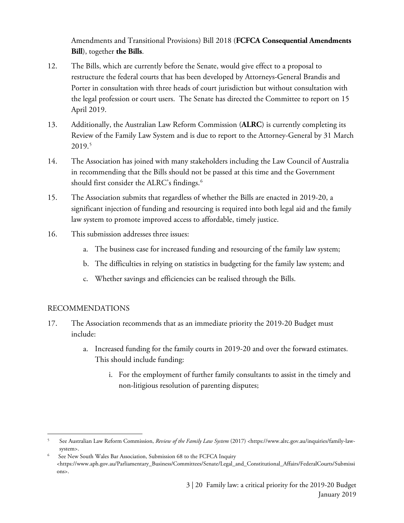Amendments and Transitional Provisions) Bill 2018 (**FCFCA Consequential Amendments Bill**), together **the Bills**.

- 12. The Bills, which are currently before the Senate, would give effect to a proposal to restructure the federal courts that has been developed by Attorneys-General Brandis and Porter in consultation with three heads of court jurisdiction but without consultation with the legal profession or court users. The Senate has directed the Committee to report on 15 April 2019.
- 13. Additionally, the Australian Law Reform Commission (**ALRC**) is currently completing its Review of the Family Law System and is due to report to the Attorney-General by 31 March 2019.[5](#page-2-0)
- 14. The Association has joined with many stakeholders including the Law Council of Australia in recommending that the Bills should not be passed at this time and the Government should first consider the ALRC's findings. [6](#page-2-1)
- 15. The Association submits that regardless of whether the Bills are enacted in 2019-20, a significant injection of funding and resourcing is required into both legal aid and the family law system to promote improved access to affordable, timely justice.
- 16. This submission addresses three issues:
	- a. The business case for increased funding and resourcing of the family law system;
	- b. The difficulties in relying on statistics in budgeting for the family law system; and
	- c. Whether savings and efficiencies can be realised through the Bills.

## RECOMMENDATIONS

 $\overline{a}$ 

- 17. The Association recommends that as an immediate priority the 2019-20 Budget must include:
	- a. Increased funding for the family courts in 2019-20 and over the forward estimates. This should include funding:
		- i. For the employment of further family consultants to assist in the timely and non-litigious resolution of parenting disputes;

<span id="page-2-0"></span><sup>5</sup> See Australian Law Reform Commission, *Review of the Family Law System* (2017) <https://www.alrc.gov.au/inquiries/family-lawsystem>.

<span id="page-2-1"></span><sup>6</sup> See New South Wales Bar Association, Submission 68 to the FCFCA Inquiry <https://www.aph.gov.au/Parliamentary\_Business/Committees/Senate/Legal\_and\_Constitutional\_Affairs/FederalCourts/Submissi ons>.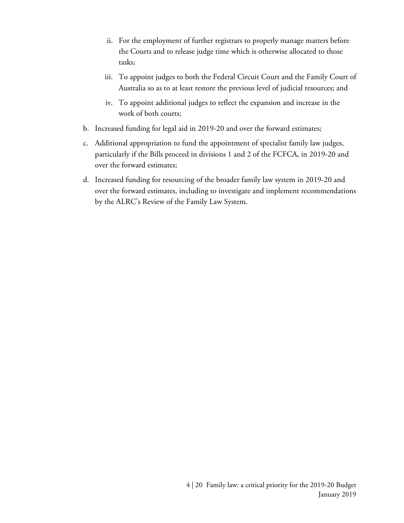- ii. For the employment of further registrars to properly manage matters before the Courts and to release judge time which is otherwise allocated to those tasks;
- iii. To appoint judges to both the Federal Circuit Court and the Family Court of Australia so as to at least restore the previous level of judicial resources; and
- iv. To appoint additional judges to reflect the expansion and increase in the work of both courts;
- b. Increased funding for legal aid in 2019-20 and over the forward estimates;
- c. Additional appropriation to fund the appointment of specialist family law judges, particularly if the Bills proceed in divisions 1 and 2 of the FCFCA, in 2019-20 and over the forward estimates;
- d. Increased funding for resourcing of the broader family law system in 2019-20 and over the forward estimates, including to investigate and implement recommendations by the ALRC's Review of the Family Law System.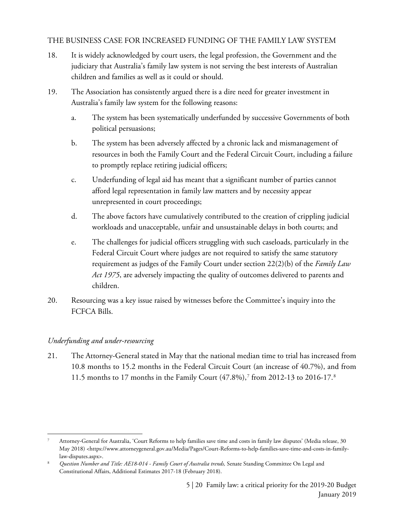## THE BUSINESS CASE FOR INCREASED FUNDING OF THE FAMILY LAW SYSTEM

- 18. It is widely acknowledged by court users, the legal profession, the Government and the judiciary that Australia's family law system is not serving the best interests of Australian children and families as well as it could or should.
- 19. The Association has consistently argued there is a dire need for greater investment in Australia's family law system for the following reasons:
	- a. The system has been systematically underfunded by successive Governments of both political persuasions;
	- b. The system has been adversely affected by a chronic lack and mismanagement of resources in both the Family Court and the Federal Circuit Court, including a failure to promptly replace retiring judicial officers;
	- c. Underfunding of legal aid has meant that a significant number of parties cannot afford legal representation in family law matters and by necessity appear unrepresented in court proceedings;
	- d. The above factors have cumulatively contributed to the creation of crippling judicial workloads and unacceptable, unfair and unsustainable delays in both courts; and
	- e. The challenges for judicial officers struggling with such caseloads, particularly in the Federal Circuit Court where judges are not required to satisfy the same statutory requirement as judges of the Family Court under section 22(2)(b) of the *Family Law Act 1975*, are adversely impacting the quality of outcomes delivered to parents and children.
- 20. Resourcing was a key issue raised by witnesses before the Committee's inquiry into the FCFCA Bills.

## *Underfunding and under-resourcing*

<span id="page-4-0"></span> $\overline{a}$ 

21. The Attorney-General stated in May that the national median time to trial has increased from 10.8 months to 15.2 months in the Federal Circuit Court (an increase of 40.7%), and from 11.5 months to 17 months in the Family Court (47.8%),[7](#page-4-0) from 2012-13 to 2016-17.[8](#page-4-1)

<span id="page-4-1"></span><sup>7</sup> Attorney-General for Australia, 'Court Reforms to help families save time and costs in family law disputes' (Media release, 30 May 2018) <https://www.attorneygeneral.gov.au/Media/Pages/Court-Reforms-to-help-families-save-time-and-costs-in-familylaw-disputes.aspx>.

<span id="page-4-2"></span><sup>8</sup> *Question Number and Title: AE18-014 - Family Court of Australia trends,* Senate Standing Committee On Legal and Constitutional Affairs, Additional Estimates 2017-18 (February 2018).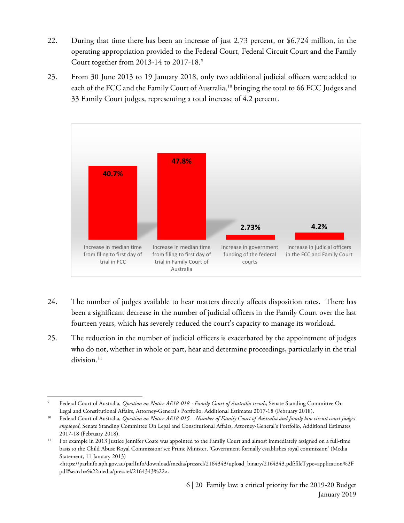- 22. During that time there has been an increase of just 2.73 percent, or \$6.724 million, in the operating appropriation provided to the Federal Court, Federal Circuit Court and the Family Court together from 2013-14 to 2017-18.[9](#page-4-2)
- 23. From 30 June 2013 to 19 January 2018, only two additional judicial officers were added to each of the FCC and the Family Court of Australia,<sup>[10](#page-5-0)</sup> bringing the total to 66 FCC Judges and 33 Family Court judges, representing a total increase of 4.2 percent.



- 24. The number of judges available to hear matters directly affects disposition rates. There has been a significant decrease in the number of judicial officers in the Family Court over the last fourteen years, which has severely reduced the court's capacity to manage its workload.
- 25. The reduction in the number of judicial officers is exacerbated by the appointment of judges who do not, whether in whole or part, hear and determine proceedings, particularly in the trial division. [11](#page-5-1)

 $\overline{\phantom{a}}$ <sup>9</sup> Federal Court of Australia, *Question on Notice AE18-018 - Family Court of Australia trends*, Senate Standing Committee On Legal and Constitutional Affairs, Attorney-General's Portfolio, Additional Estimates 2017-18 (February 2018).

<span id="page-5-0"></span><sup>10</sup> Federal Court of Australia, *Question on Notice AE18-015 – Number of Family Court of Australia and family law circuit court judges employed*, Senate Standing Committee On Legal and Constitutional Affairs, Attorney-General's Portfolio, Additional Estimates 2017-18 (February 2018).

<span id="page-5-1"></span><sup>&</sup>lt;sup>11</sup> For example in 2013 Justice Jennifer Coate was appointed to the Family Court and almost immediately assigned on a full-time basis to the Child Abuse Royal Commission: see Prime Minister, 'Government formally establishes royal commission' (Media Statement, 11 January 2013)

<sup>&</sup>lt;https://parlinfo.aph.gov.au/parlInfo/download/media/pressrel/2164343/upload\_binary/2164343.pdf;fileType=application%2F pdf#search=%22media/pressrel/2164343%22>.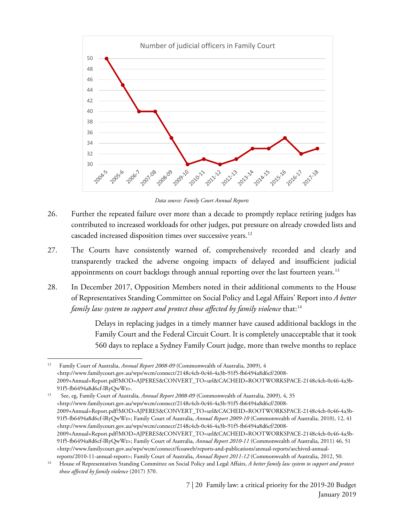

*Data source: Family Court Annual Reports* 

- 26. Further the repeated failure over more than a decade to promptly replace retiring judges has contributed to increased workloads for other judges, put pressure on already crowded lists and cascaded increased disposition times over successive years. [12](#page-6-0)
- 27. The Courts have consistently warned of, comprehensively recorded and clearly and transparently tracked the adverse ongoing impacts of delayed and insufficient judicial appointments on court backlogs through annual reporting over the last fourteen years.<sup>13</sup>
- 28. In December 2017, Opposition Members noted in their additional comments to the House of Representatives Standing Committee on Social Policy and Legal Affairs' Report into *A better family law system to support and protect those affected by family violence that*:<sup>[14](#page-6-2)</sup>

Delays in replacing judges in a timely manner have caused additional backlogs in the Family Court and the Federal Circuit Court. It is completely unacceptable that it took 560 days to replace a Sydney Family Court judge, more than twelve months to replace

 $\overline{a}$ 

<span id="page-6-1"></span><sup>13</sup> See, eg, Family Court of Australia, *Annual Report 2008-09* (Commonwealth of Australia, 2009), 4, 35 <http://www.familycourt.gov.au/wps/wcm/connect/2148c4cb-0c46-4a3b-91f5-fb6494a8d6cf/2008- 2009+Annual+Report.pdf?MOD=AJPERES&CONVERT\_TO=url&CACHEID=ROOTWORKSPACE-2148c4cb-0c46-4a3b-91f5-fb6494a8d6cf-lRyQwWz>; Family Court of Australia, *Annual Report 2009-10* (Commonwealth of Australia, 2010), 12, 41 <http://www.familycourt.gov.au/wps/wcm/connect/2148c4cb-0c46-4a3b-91f5-fb6494a8d6cf/2008- 2009+Annual+Report.pdf?MOD=AJPERES&CONVERT\_TO=url&CACHEID=ROOTWORKSPACE-2148c4cb-0c46-4a3b-91f5-fb6494a8d6cf-lRyQwWz>; Family Court of Australia, *Annual Report 2010-11* (Commonwealth of Australia, 2011) 46, 51 <http://www.familycourt.gov.au/wps/wcm/connect/fcoaweb/reports-and-publications/annual-reports/archived-annualreports/2010-11-annual-report>; Family Court of Australia, *Annual Report 2011-12* (Commonwealth of Australia, 2012, 50.

<span id="page-6-0"></span><sup>12</sup> Family Court of Australia, *Annual Report 2008-09* (Commonwealth of Australia, 2009), 4 <http://www.familycourt.gov.au/wps/wcm/connect/2148c4cb-0c46-4a3b-91f5-fb6494a8d6cf/2008- 2009+Annual+Report.pdf?MOD=AJPERES&CONVERT\_TO=url&CACHEID=ROOTWORKSPACE-2148c4cb-0c46-4a3b-91f5-fb6494a8d6cf-lRyQwWz>.

<span id="page-6-2"></span><sup>14</sup> House of Representatives Standing Committee on Social Policy and Legal Affairs, *A better family law system to support and protect those affected by family violence* (2017) 370.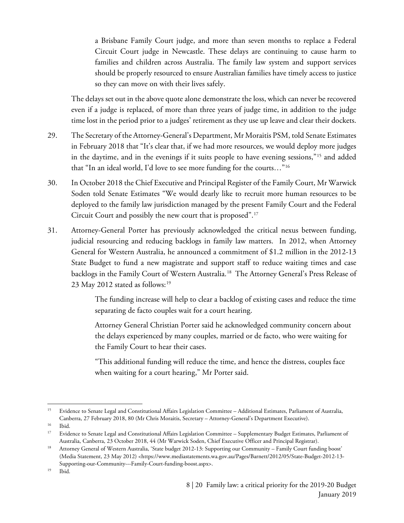a Brisbane Family Court judge, and more than seven months to replace a Federal Circuit Court judge in Newcastle. These delays are continuing to cause harm to families and children across Australia. The family law system and support services should be properly resourced to ensure Australian families have timely access to justice so they can move on with their lives safely.

The delays set out in the above quote alone demonstrate the loss, which can never be recovered even if a judge is replaced, of more than three years of judge time, in addition to the judge time lost in the period prior to a judges' retirement as they use up leave and clear their dockets.

- 29. The Secretary of the Attorney-General's Department, Mr Moraitis PSM, told Senate Estimates in February 2018 that "It's clear that, if we had more resources, we would deploy more judges in the daytime, and in the evenings if it suits people to have evening sessions,"[15](#page-7-0) and added that "In an ideal world, I'd love to see more funding for the courts…"[16](#page-7-1)
- 30. In October 2018 the Chief Executive and Principal Register of the Family Court, Mr Warwick Soden told Senate Estimates "We would dearly like to recruit more human resources to be deployed to the family law jurisdiction managed by the present Family Court and the Federal Circuit Court and possibly the new court that is proposed".[17](#page-7-2)
- 31. Attorney-General Porter has previously acknowledged the critical nexus between funding, judicial resourcing and reducing backlogs in family law matters. In 2012, when Attorney General for Western Australia, he announced a commitment of \$1.2 million in the 2012-13 State Budget to fund a new magistrate and support staff to reduce waiting times and case backlogs in the Family Court of Western Australia.<sup>[18](#page-7-3)</sup> The Attorney General's Press Release of 23 May 2012 stated as follows: [19](#page-7-4)

The funding increase will help to clear a backlog of existing cases and reduce the time separating de facto couples wait for a court hearing.

Attorney General Christian Porter said he acknowledged community concern about the delays experienced by many couples, married or de facto, who were waiting for the Family Court to hear their cases.

"This additional funding will reduce the time, and hence the distress, couples face when waiting for a court hearing," Mr Porter said.

 $\overline{a}$ 

<span id="page-7-0"></span><sup>&</sup>lt;sup>15</sup> Evidence to Senate Legal and Constitutional Affairs Legislation Committee – Additional Estimates, Parliament of Australia, Canberra, 27 February 2018, 80 (Mr Chris Moraitis, Secretary – Attorney-General's Department Executive).

<span id="page-7-1"></span> $16$  Ibid.<br> $17$  Evidents

<span id="page-7-2"></span><sup>17</sup> Evidence to Senate Legal and Constitutional Affairs Legislation Committee – Supplementary Budget Estimates, Parliament of Australia, Canberra, 23 October 2018, 44 (Mr Warwick Soden, Chief Executive Officer and Principal Registrar).<br><sup>18</sup> Attorney General of Western Australia, 'State budget 2012-13: Supporting our Community – Family Court fundi

<span id="page-7-3"></span><sup>(</sup>Media Statement, 23 May 2012) <https://www.mediastatements.wa.gov.au/Pages/Barnett/2012/05/State-Budget-2012-13- Supporting-our-Community---Family-Court-funding-boost.aspx>.

<span id="page-7-4"></span><sup>19</sup> Ibid.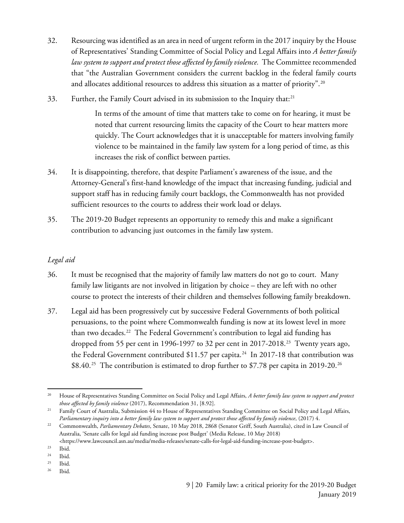- 32. Resourcing was identified as an area in need of urgent reform in the 2017 inquiry by the House of Representatives' Standing Committee of Social Policy and Legal Affairs into *A better family law system to support and protect those affected by family violence.* The Committee recommended that "the Australian Government considers the current backlog in the federal family courts and allocates additional resources to address this situation as a matter of priority".<sup>20</sup>
- 33. Further, the Family Court advised in its submission to the Inquiry that:<sup>[21](#page-8-1)</sup>

In terms of the amount of time that matters take to come on for hearing, it must be noted that current resourcing limits the capacity of the Court to hear matters more quickly. The Court acknowledges that it is unacceptable for matters involving family violence to be maintained in the family law system for a long period of time, as this increases the risk of conflict between parties.

- 34. It is disappointing, therefore, that despite Parliament's awareness of the issue, and the Attorney-General's first-hand knowledge of the impact that increasing funding, judicial and support staff has in reducing family court backlogs, the Commonwealth has not provided sufficient resources to the courts to address their work load or delays.
- 35. The 2019-20 Budget represents an opportunity to remedy this and make a significant contribution to advancing just outcomes in the family law system.

## *Legal aid*

- 36. It must be recognised that the majority of family law matters do not go to court. Many family law litigants are not involved in litigation by choice – they are left with no other course to protect the interests of their children and themselves following family breakdown.
- 37. Legal aid has been progressively cut by successive Federal Governments of both political persuasions, to the point where Commonwealth funding is now at its lowest level in more than two decades.[22](#page-8-2) The Federal Government's contribution to legal aid funding has dropped from 55 per cent in 1996-1997 to 32 per cent in 2017-2018.<sup>23</sup> Twenty years ago, the Federal Government contributed  $$11.57$  per capita.<sup>24</sup> In 2017-18 that contribution was  $$8.40.<sup>25</sup>$  $$8.40.<sup>25</sup>$  $$8.40.<sup>25</sup>$  The contribution is estimated to drop further to \$7.78 per capita in 2019-20.<sup>[26](#page-8-6)</sup>

<span id="page-8-0"></span>l <sup>20</sup> House of Representatives Standing Committee on Social Policy and Legal Affairs, *A better family law system to support and protect those affected by family violence* (2017), Recommendation 31, [8.92].

<span id="page-8-1"></span><sup>&</sup>lt;sup>21</sup> Family Court of Australia, Submission 44 to House of Representatives Standing Committee on Social Policy and Legal Affairs, Parliamentary inquiry into a better family law system to support and protect those affected by family violence, (2017) 4.<br>Commonwealth, *Parliamentary Debates*, Senate, 10 May 2018, 2868 (Senator Griff, South Australia), c

<span id="page-8-2"></span>Australia, 'Senate calls for legal aid funding increase post Budget' (Media Release, 10 May 2018)

<sup>&</sup>lt;https://www.lawcouncil.asn.au/media/media-releases/senate-calls-for-legal-aid-funding-increase-post-budget>.

<span id="page-8-4"></span><span id="page-8-3"></span> $23$  Ibid.<br> $24$  Ibid.

<span id="page-8-5"></span> $rac{24}{25}$  Ibid.

Ibid.

<span id="page-8-7"></span><span id="page-8-6"></span><sup>26</sup> Ibid.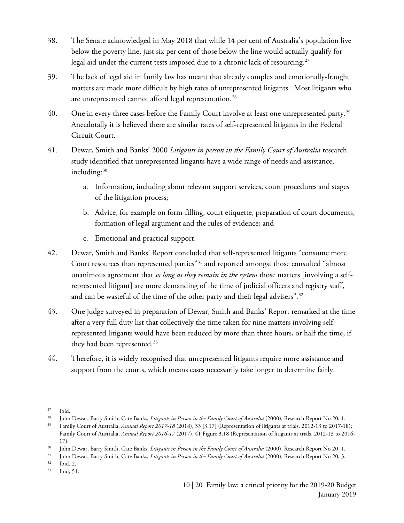- 38. The Senate acknowledged in May 2018 that while 14 per cent of Australia's population live below the poverty line, just six per cent of those below the line would actually qualify for legal aid under the current tests imposed due to a chronic lack of resourcing.<sup>[27](#page-8-7)</sup>
- 39. The lack of legal aid in family law has meant that already complex and emotionally-fraught matters are made more difficult by high rates of unrepresented litigants. Most litigants who are unrepresented cannot afford legal representation.<sup>[28](#page-9-0)</sup>
- 40. One in every three cases before the Family Court involve at least one unrepresented party.<sup>29</sup> Anecdotally it is believed there are similar rates of self-represented litigants in the Federal Circuit Court.
- 41. Dewar, Smith and Banks' 2000 *Litigants in person in the Family Court of Australia* research study identified that unrepresented litigants have a wide range of needs and assistance, including:<sup>[30](#page-9-2)</sup>
	- a. Information, including about relevant support services, court procedures and stages of the litigation process;
	- b. Advice, for example on form-filling, court etiquette, preparation of court documents, formation of legal argument and the rules of evidence; and
	- c. Emotional and practical support.
- 42. Dewar, Smith and Banks' Report concluded that self-represented litigants "consume more Court resources than represented parties"[31](#page-9-3) and reported amongst those consulted "almost unanimous agreement that *so long as they remain in the system* those matters [involving a selfrepresented litigant] are more demanding of the time of judicial officers and registry staff, and can be wasteful of the time of the other party and their legal advisers".<sup>32</sup>
- 43. One judge surveyed in preparation of Dewar, Smith and Banks' Report remarked at the time after a very full duty list that collectively the time taken for nine matters involving selfrepresented litigants would have been reduced by more than three hours, or half the time, if they had been represented.<sup>[33](#page-9-5)</sup>
- 44. Therefore, it is widely recognised that unrepresented litigants require more assistance and support from the courts, which means cases necessarily take longer to determine fairly.

 $\overline{a}$  $27$  Ibid.

<span id="page-9-0"></span><sup>28</sup> John Dewar, Barry Smith, Cate Banks, *Litigants in Person in the Family Court of Australia* (2000), Research Report No 20, 1.

<span id="page-9-1"></span><sup>&</sup>lt;sup>29</sup> Family Court of Australia, *Annual Report 2017-18* (2018), 33 [3.17] (Representation of litigants at trials, 2012-13 to 2017-18); Family Court of Australia, *Annual Report 2016-17* (2017), 41 Figure 3.18 (Representation of litigants at trials, 2012-13 to 2016- 17).

<span id="page-9-2"></span><sup>30</sup> John Dewar, Barry Smith, Cate Banks, *Litigants in Person in the Family Court of Australia* (2000), Research Report No 20, 1.

<sup>31</sup> John Dewar, Barry Smith, Cate Banks, *Litigants in Person in the Family Court of Australia* (2000), Research Report No 20, 3.

<span id="page-9-4"></span><span id="page-9-3"></span> $32$  Ibid, 2.

<span id="page-9-5"></span><sup>33</sup> Ibid, 51.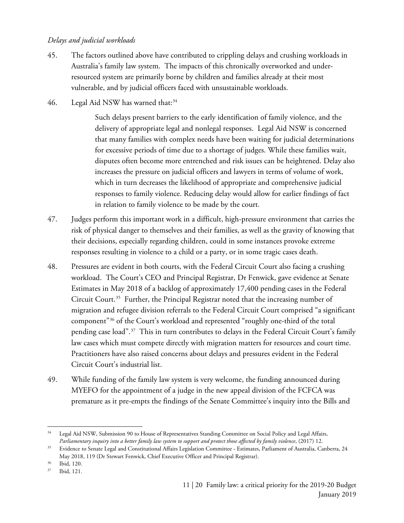### *Delays and judicial workloads*

- 45. The factors outlined above have contributed to crippling delays and crushing workloads in Australia's family law system. The impacts of this chronically overworked and underresourced system are primarily borne by children and families already at their most vulnerable, and by judicial officers faced with unsustainable workloads.
- 46. Legal Aid NSW has warned that: $34$

Such delays present barriers to the early identification of family violence, and the delivery of appropriate legal and nonlegal responses. Legal Aid NSW is concerned that many families with complex needs have been waiting for judicial determinations for excessive periods of time due to a shortage of judges. While these families wait, disputes often become more entrenched and risk issues can be heightened. Delay also increases the pressure on judicial officers and lawyers in terms of volume of work, which in turn decreases the likelihood of appropriate and comprehensive judicial responses to family violence. Reducing delay would allow for earlier findings of fact in relation to family violence to be made by the court.

- 47. Judges perform this important work in a difficult, high-pressure environment that carries the risk of physical danger to themselves and their families, as well as the gravity of knowing that their decisions, especially regarding children, could in some instances provoke extreme responses resulting in violence to a child or a party, or in some tragic cases death.
- 48. Pressures are evident in both courts, with the Federal Circuit Court also facing a crushing workload. The Court's CEO and Principal Registrar, Dr Fenwick, gave evidence at Senate Estimates in May 2018 of a backlog of approximately 17,400 pending cases in the Federal Circuit Court. [35](#page-10-1) Further, the Principal Registrar noted that the increasing number of migration and refugee division referrals to the Federal Circuit Court comprised "a significant component["36](#page-10-2) of the Court's workload and represented "roughly one-third of the total pending case load".<sup>[37](#page-10-3)</sup> This in turn contributes to delays in the Federal Circuit Court's family law cases which must compete directly with migration matters for resources and court time. Practitioners have also raised concerns about delays and pressures evident in the Federal Circuit Court's industrial list.
- 49. While funding of the family law system is very welcome, the funding announced during MYEFO for the appointment of a judge in the new appeal division of the FCFCA was premature as it pre-empts the findings of the Senate Committee's inquiry into the Bills and

<span id="page-10-0"></span> $\overline{\phantom{a}}$ <sup>34</sup> Legal Aid NSW, Submission 90 to House of Representatives Standing Committee on Social Policy and Legal Affairs, *Parliamentary inquiry into a better family law system to support and protect those affected by family violence*, (2017) 12.

<span id="page-10-1"></span><sup>&</sup>lt;sup>35</sup> Evidence to Senate Legal and Constitutional Affairs Legislation Committee - Estimates, Parliament of Australia, Canberra, 24 May 2018, 119 (Dr Stewart Fenwick, Chief Executive Officer and Principal Registrar).

<span id="page-10-2"></span><sup>36</sup> Ibid, 120.

<span id="page-10-3"></span><sup>37</sup> Ibid, 121.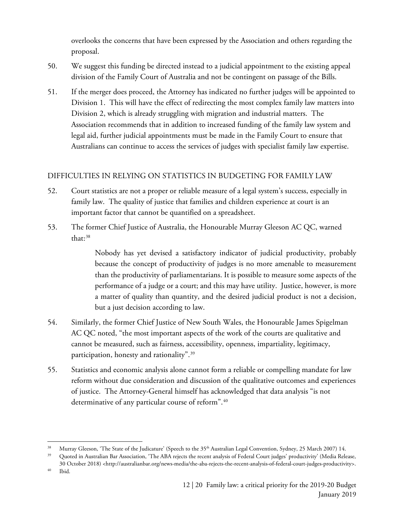overlooks the concerns that have been expressed by the Association and others regarding the proposal.

- 50. We suggest this funding be directed instead to a judicial appointment to the existing appeal division of the Family Court of Australia and not be contingent on passage of the Bills.
- 51. If the merger does proceed, the Attorney has indicated no further judges will be appointed to Division 1. This will have the effect of redirecting the most complex family law matters into Division 2, which is already struggling with migration and industrial matters. The Association recommends that in addition to increased funding of the family law system and legal aid, further judicial appointments must be made in the Family Court to ensure that Australians can continue to access the services of judges with specialist family law expertise.

## DIFFICULTIES IN RELYING ON STATISTICS IN BUDGETING FOR FAMILY LAW

- 52. Court statistics are not a proper or reliable measure of a legal system's success, especially in family law. The quality of justice that families and children experience at court is an important factor that cannot be quantified on a spreadsheet.
- 53. The former Chief Justice of Australia, the Honourable Murray Gleeson AC QC, warned that:<sup>[38](#page-11-0)</sup>

Nobody has yet devised a satisfactory indicator of judicial productivity, probably because the concept of productivity of judges is no more amenable to measurement than the productivity of parliamentarians. It is possible to measure some aspects of the performance of a judge or a court; and this may have utility. Justice, however, is more a matter of quality than quantity, and the desired judicial product is not a decision, but a just decision according to law.

- 54. Similarly, the former Chief Justice of New South Wales, the Honourable James Spigelman AC QC noted, "the most important aspects of the work of the courts are qualitative and cannot be measured, such as fairness, accessibility, openness, impartiality, legitimacy, participation, honesty and rationality".[39](#page-11-1)
- 55. Statistics and economic analysis alone cannot form a reliable or compelling mandate for law reform without due consideration and discussion of the qualitative outcomes and experiences of justice. The Attorney-General himself has acknowledged that data analysis "is not determinative of any particular course of reform".<sup>[40](#page-11-2)</sup>

<span id="page-11-1"></span><span id="page-11-0"></span> $\overline{\phantom{a}}$ 

<sup>38</sup> Murray Gleeson, 'The State of the Judicature' (Speech to the 35th Australian Legal Convention, Sydney, 25 March 2007) 14.

<span id="page-11-2"></span><sup>&</sup>lt;sup>39</sup> Quoted in Australian Bar Association, 'The ABA rejects the recent analysis of Federal Court judges' productivity' (Media Release, 30 October 2018) <http://australianbar.org/news-media/the-aba-rejects-the-recent-analysis-of-federal-court-judges-productivity>.

<span id="page-11-3"></span><sup>40</sup> Ibid.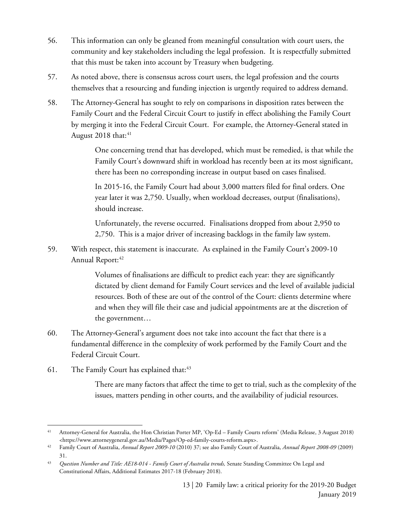- 56. This information can only be gleaned from meaningful consultation with court users, the community and key stakeholders including the legal profession. It is respectfully submitted that this must be taken into account by Treasury when budgeting.
- 57. As noted above, there is consensus across court users, the legal profession and the courts themselves that a resourcing and funding injection is urgently required to address demand.
- 58. The Attorney-General has sought to rely on comparisons in disposition rates between the Family Court and the Federal Circuit Court to justify in effect abolishing the Family Court by merging it into the Federal Circuit Court. For example, the Attorney-General stated in August 2018 that:<sup>[41](#page-11-3)</sup>

One concerning trend that has developed, which must be remedied, is that while the Family Court's downward shift in workload has recently been at its most significant, there has been no corresponding increase in output based on cases finalised.

In 2015-16, the Family Court had about 3,000 matters filed for final orders. One year later it was 2,750. Usually, when workload decreases, output (finalisations), should increase.

Unfortunately, the reverse occurred. Finalisations dropped from about 2,950 to 2,750. This is a major driver of increasing backlogs in the family law system.

59. With respect, this statement is inaccurate. As explained in the Family Court's 2009-10 Annual Report:<sup>[42](#page-12-0)</sup>

> Volumes of finalisations are difficult to predict each year: they are significantly dictated by client demand for Family Court services and the level of available judicial resources. Both of these are out of the control of the Court: clients determine where and when they will file their case and judicial appointments are at the discretion of the government…

- 60. The Attorney-General's argument does not take into account the fact that there is a fundamental difference in the complexity of work performed by the Family Court and the Federal Circuit Court.
- 61. The Family Court has explained that:<sup>[43](#page-12-1)</sup>

There are many factors that affect the time to get to trial, such as the complexity of the issues, matters pending in other courts, and the availability of judicial resources.

<span id="page-12-2"></span><span id="page-12-1"></span><span id="page-12-0"></span> $\overline{\phantom{a}}$ <sup>41</sup> Attorney-General for Australia, the Hon Christian Porter MP, 'Op-Ed – Family Courts reform' (Media Release, 3 August 2018) <https://www.attorneygeneral.gov.au/Media/Pages/Op-ed-family-courts-reform.aspx>.

<sup>42</sup> Family Court of Australia, *Annual Report 2009-10* (2010) 37; see also Family Court of Australia, *Annual Report 2008-09* (2009) 31.

<span id="page-12-5"></span><span id="page-12-4"></span><span id="page-12-3"></span><sup>43</sup> *Question Number and Title: AE18-014 - Family Court of Australia trends,* Senate Standing Committee On Legal and Constitutional Affairs, Additional Estimates 2017-18 (February 2018).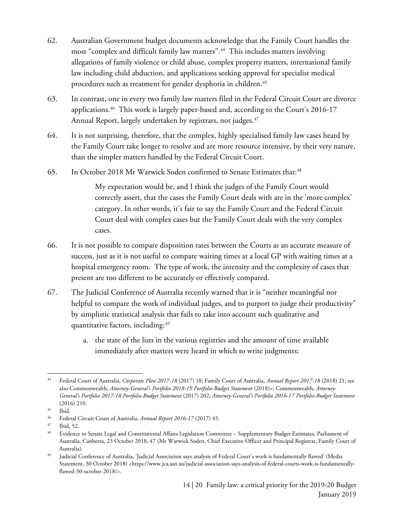- 62. Australian Government budget documents acknowledge that the Family Court handles the most "complex and difficult family law matters".<sup>[44](#page-12-2)</sup> This includes matters involving allegations of family violence or child abuse, complex property matters, international family law including child abduction, and applications seeking approval for specialist medical procedures such as treatment for gender dysphoria in children.<sup>[45](#page-12-3)</sup>
- 63. In contrast, one in every two family law matters filed in the Federal Circuit Court are divorce applications.<sup>[46](#page-12-4)</sup> This work is largely paper-based and, according to the Court's 2016-17 Annual Report, largely undertaken by registrars, not judges.<sup>[47](#page-12-5)</sup>
- 64. It is not surprising, therefore, that the complex, highly specialised family law cases heard by the Family Court take longer to resolve and are more resource intensive, by their very nature, than the simpler matters handled by the Federal Circuit Court.
- 65. In October 2018 Mr Warwick Soden confirmed to Senate Estimates that:<sup>[48](#page-13-0)</sup>

My expectation would be, and I think the judges of the Family Court would correctly assert, that the cases the Family Court deals with are in the 'more complex' category. In other words, it's fair to say the Family Court and the Federal Circuit Court deal with complex cases but the Family Court deals with the very complex cases.

- 66. It is not possible to compare disposition rates between the Courts as an accurate measure of success, just as it is not useful to compare waiting times at a local GP with waiting times at a hospital emergency room. The type of work, the intensity and the complexity of cases that present are too different to be accurately or effectively compared.
- 67. The Judicial Conference of Australia recently warned that it is "neither meaningful nor helpful to compare the work of individual judges, and to purport to judge their productivity" by simplistic statistical analysis that fails to take into account such qualitative and quantitative factors, including: 49
	- a. the state of the lists in the various registries and the amount of time available immediately after matters were heard in which to write judgments;

l <sup>44</sup> Federal Court of Australia, *Corporate Plan 2017-18* (2017) 18; Family Court of Australia, *Annual Report 2017-18* (2018) 21; see also Commonwealth, *Attorney-General's Portfolio 2018-19 Portfolio Budget Statement* (2018)>; Commonwealth, Attorney-*General's Portfolio 2017-18 Portfolio Budget Statement* (2017) 202; *Attorney-General's Portfolio 2016-17 Portfolio Budget Statement*  (2016) 210.

<span id="page-13-0"></span> $\frac{45}{46}$  Ibid.

<sup>46</sup> Federal Circuit Court of Australia, *Annual Report 2016-17* (2017) 45.

<span id="page-13-1"></span> $\frac{47}{48}$  Ibid, 52.

<sup>48</sup> Evidence to Senate Legal and Constitutional Affairs Legislation Committee – Supplementary Budget Estimates, Parliament of Australia, Canberra, 23 October 2018, 47 (Mr Warwick Soden, Chief Executive Officer and Principal Registrar, Family Court of Australia).

<span id="page-13-2"></span><sup>49</sup> Judicial Conference of Australia, 'Judicial Association says analysis of Federal Court's work is fundamentally flawed' (Media Statement, 30 October 2018) <https://www.jca.asn.au/judicial-association-says-analysis-of-federal-courts-work-is-fundamentallyflawed-30-october-2018/>.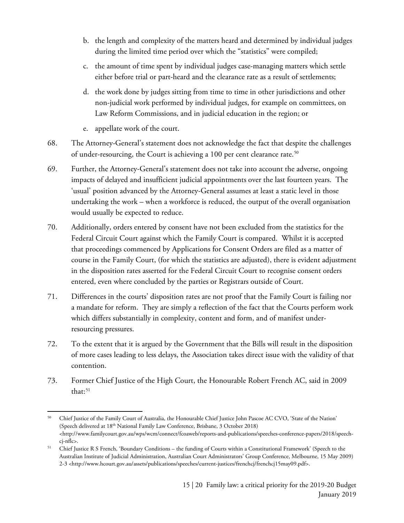- b. the length and complexity of the matters heard and determined by individual judges during the limited time period over which the "statistics" were compiled;
- c. the amount of time spent by individual judges case-managing matters which settle either before trial or part-heard and the clearance rate as a result of settlements;
- d. the work done by judges sitting from time to time in other jurisdictions and other non-judicial work performed by individual judges, for example on committees, on Law Reform Commissions, and in judicial education in the region; or
- e. appellate work of the court.
- 68. The Attorney-General's statement does not acknowledge the fact that despite the challenges of under-resourcing, the Court is achieving a 100 per cent clearance rate.<sup>[50](#page-13-2)</sup>
- 69. Further, the Attorney-General's statement does not take into account the adverse, ongoing impacts of delayed and insufficient judicial appointments over the last fourteen years. The 'usual' position advanced by the Attorney-General assumes at least a static level in those undertaking the work – when a workforce is reduced, the output of the overall organisation would usually be expected to reduce.
- 70. Additionally, orders entered by consent have not been excluded from the statistics for the Federal Circuit Court against which the Family Court is compared. Whilst it is accepted that proceedings commenced by Applications for Consent Orders are filed as a matter of course in the Family Court, (for which the statistics are adjusted), there is evident adjustment in the disposition rates asserted for the Federal Circuit Court to recognise consent orders entered, even where concluded by the parties or Registrars outside of Court.
- 71. Differences in the courts' disposition rates are not proof that the Family Court is failing nor a mandate for reform. They are simply a reflection of the fact that the Courts perform work which differs substantially in complexity, content and form, and of manifest underresourcing pressures.
- 72. To the extent that it is argued by the Government that the Bills will result in the disposition of more cases leading to less delays, the Association takes direct issue with the validity of that contention.
- 73. Former Chief Justice of the High Court, the Honourable Robert French AC, said in 2009 that:<sup>[51](#page-14-0)</sup>

 $\overline{\phantom{a}}$ <sup>50</sup> Chief Justice of the Family Court of Australia, the Honourable Chief Justice John Pascoe AC CVO, 'State of the Nation' (Speech delivered at 18th National Family Law Conference, Brisbane, 3 October 2018) <http://www.familycourt.gov.au/wps/wcm/connect/fcoaweb/reports-and-publications/speeches-conference-papers/2018/speechcj-nflc>.

<span id="page-14-0"></span><sup>&</sup>lt;sup>51</sup> Chief Justice R S French, 'Boundary Conditions – the funding of Courts within a Constitutional Framework' (Speech to the Australian Institute of Judicial Administration, Australian Court Administrators' Group Conference, Melbourne, 15 May 2009) 2-3 <http://www.hcourt.gov.au/assets/publications/speeches/current-justices/frenchcj/frenchcj15may09.pdf>.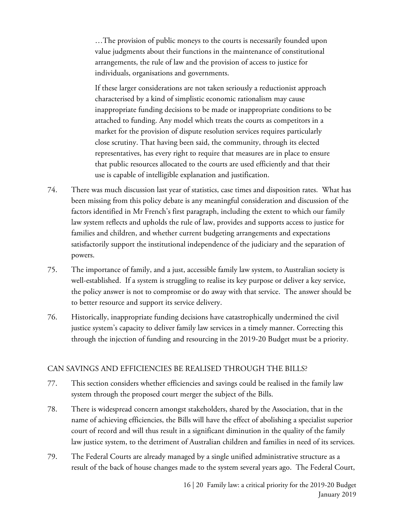…The provision of public moneys to the courts is necessarily founded upon value judgments about their functions in the maintenance of constitutional arrangements, the rule of law and the provision of access to justice for individuals, organisations and governments.

If these larger considerations are not taken seriously a reductionist approach characterised by a kind of simplistic economic rationalism may cause inappropriate funding decisions to be made or inappropriate conditions to be attached to funding. Any model which treats the courts as competitors in a market for the provision of dispute resolution services requires particularly close scrutiny. That having been said, the community, through its elected representatives, has every right to require that measures are in place to ensure that public resources allocated to the courts are used efficiently and that their use is capable of intelligible explanation and justification.

- 74. There was much discussion last year of statistics, case times and disposition rates. What has been missing from this policy debate is any meaningful consideration and discussion of the factors identified in Mr French's first paragraph, including the extent to which our family law system reflects and upholds the rule of law, provides and supports access to justice for families and children, and whether current budgeting arrangements and expectations satisfactorily support the institutional independence of the judiciary and the separation of powers.
- 75. The importance of family, and a just, accessible family law system, to Australian society is well-established. If a system is struggling to realise its key purpose or deliver a key service, the policy answer is not to compromise or do away with that service. The answer should be to better resource and support its service delivery.
- 76. Historically, inappropriate funding decisions have catastrophically undermined the civil justice system's capacity to deliver family law services in a timely manner. Correcting this through the injection of funding and resourcing in the 2019-20 Budget must be a priority.

### CAN SAVINGS AND EFFICIENCIES BE REALISED THROUGH THE BILLS?

- 77. This section considers whether efficiencies and savings could be realised in the family law system through the proposed court merger the subject of the Bills.
- 78. There is widespread concern amongst stakeholders, shared by the Association, that in the name of achieving efficiencies, the Bills will have the effect of abolishing a specialist superior court of record and will thus result in a significant diminution in the quality of the family law justice system, to the detriment of Australian children and families in need of its services.
- <span id="page-15-1"></span><span id="page-15-0"></span>79. The Federal Courts are already managed by a single unified administrative structure as a result of the back of house changes made to the system several years ago. The Federal Court,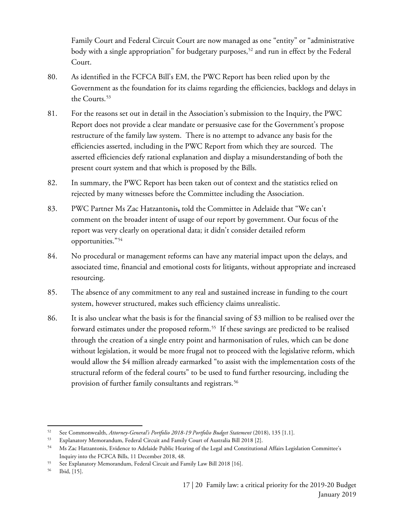Family Court and Federal Circuit Court are now managed as one "entity" or "administrative body with a single appropriation" for budgetary purposes,<sup>[52](#page-15-0)</sup> and run in effect by the Federal Court.

- 80. As identified in the FCFCA Bill's EM, the PWC Report has been relied upon by the Government as the foundation for its claims regarding the efficiencies, backlogs and delays in the Courts.<sup>[53](#page-15-1)</sup>
- 81. For the reasons set out in detail in the Association's submission to the Inquiry, the PWC Report does not provide a clear mandate or persuasive case for the Government's propose restructure of the family law system. There is no attempt to advance any basis for the efficiencies asserted, including in the PWC Report from which they are sourced. The asserted efficiencies defy rational explanation and display a misunderstanding of both the present court system and that which is proposed by the Bills.
- 82. In summary, the PWC Report has been taken out of context and the statistics relied on rejected by many witnesses before the Committee including the Association.
- 83. PWC Partner Ms Zac Hatzantonis**,** told the Committee in Adelaide that "We can't comment on the broader intent of usage of our report by government. Our focus of the report was very clearly on operational data; it didn't consider detailed reform opportunities."[54](#page-16-0)
- 84. No procedural or management reforms can have any material impact upon the delays, and associated time, financial and emotional costs for litigants, without appropriate and increased resourcing.
- 85. The absence of any commitment to any real and sustained increase in funding to the court system, however structured, makes such efficiency claims unrealistic.
- 86. It is also unclear what the basis is for the financial saving of \$3 million to be realised over the forward estimates under the proposed reform.<sup>[55](#page-16-1)</sup> If these savings are predicted to be realised through the creation of a single entry point and harmonisation of rules, which can be done without legislation, it would be more frugal not to proceed with the legislative reform, which would allow the \$4 million already earmarked "to assist with the implementation costs of the structural reform of the federal courts" to be used to fund further resourcing, including the provision of further family consultants and registrars.<sup>[56](#page-16-2)</sup>

l

<sup>52</sup> See Commonwealth, Attorney-General's Portfolio 2018-19 Portfolio Budget Statement (2018), 135 [1.1].

<span id="page-16-0"></span><sup>53</sup> Explanatory Memorandum, Federal Circuit and Family Court of Australia Bill 2018 [2].<br>54 Ms Zac Hatzantonis, Evidence to Adelaide Public Hearing of the Legal and Constitution

<sup>54</sup> Ms Zac Hatzantonis, Evidence to Adelaide Public Hearing of the Legal and Constitutional Affairs Legislation Committee's Inquiry into the FCFCA Bills, 11 December 2018, 48.

<span id="page-16-2"></span><span id="page-16-1"></span><sup>55</sup> See Explanatory Memorandum, Federal Circuit and Family Law Bill 2018 [16].

<span id="page-16-3"></span><sup>56</sup> Ibid, [15].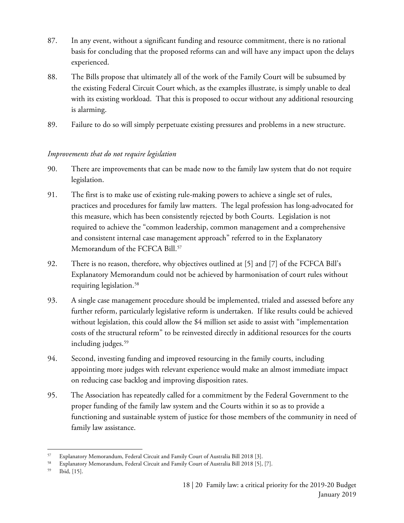- 87. In any event, without a significant funding and resource commitment, there is no rational basis for concluding that the proposed reforms can and will have any impact upon the delays experienced.
- 88. The Bills propose that ultimately all of the work of the Family Court will be subsumed by the existing Federal Circuit Court which, as the examples illustrate, is simply unable to deal with its existing workload. That this is proposed to occur without any additional resourcing is alarming.
- 89. Failure to do so will simply perpetuate existing pressures and problems in a new structure.

### *Improvements that do not require legislation*

- 90. There are improvements that can be made now to the family law system that do not require legislation.
- 91. The first is to make use of existing rule-making powers to achieve a single set of rules, practices and procedures for family law matters. The legal profession has long-advocated for this measure, which has been consistently rejected by both Courts. Legislation is not required to achieve the "common leadership, common management and a comprehensive and consistent internal case management approach" referred to in the Explanatory Memorandum of the FCFCA Bill.<sup>[57](#page-16-3)</sup>
- 92. There is no reason, therefore, why objectives outlined at [5] and [7] of the FCFCA Bill's Explanatory Memorandum could not be achieved by harmonisation of court rules without requiring legislation. [58](#page-17-0)
- 93. A single case management procedure should be implemented, trialed and assessed before any further reform, particularly legislative reform is undertaken. If like results could be achieved without legislation, this could allow the \$4 million set aside to assist with "implementation costs of the structural reform" to be reinvested directly in additional resources for the courts including judges.<sup>[59](#page-17-1)</sup>
- 94. Second, investing funding and improved resourcing in the family courts, including appointing more judges with relevant experience would make an almost immediate impact on reducing case backlog and improving disposition rates.
- <span id="page-17-2"></span><span id="page-17-1"></span><span id="page-17-0"></span>95. The Association has repeatedly called for a commitment by the Federal Government to the proper funding of the family law system and the Courts within it so as to provide a functioning and sustainable system of justice for those members of the community in need of family law assistance.

<span id="page-17-4"></span><span id="page-17-3"></span>l <sup>57</sup> Explanatory Memorandum, Federal Circuit and Family Court of Australia Bill 2018 [3].

<span id="page-17-6"></span><span id="page-17-5"></span><sup>58</sup> Explanatory Memorandum, Federal Circuit and Family Court of Australia Bill 2018 [5], [7].

<span id="page-17-7"></span>Ibid, [15].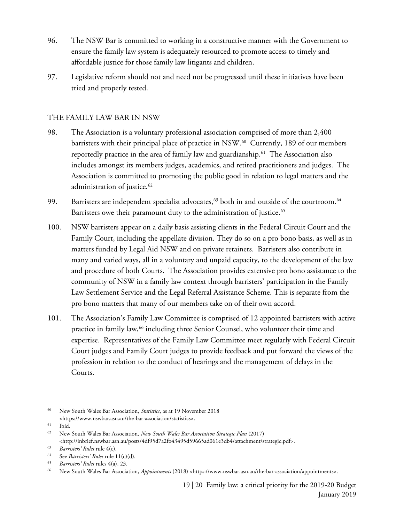- 96. The NSW Bar is committed to working in a constructive manner with the Government to ensure the family law system is adequately resourced to promote access to timely and affordable justice for those family law litigants and children.
- 97. Legislative reform should not and need not be progressed until these initiatives have been tried and properly tested.

#### THE FAMILY LAW BAR IN NSW

- 98. The Association is a voluntary professional association comprised of more than 2,400 barristers with their principal place of practice in NSW.<sup>[60](#page-17-2)</sup> Currently, 189 of our members reportedly practice in the area of family law and guardianship.[61](#page-17-3) The Association also includes amongst its members judges, academics, and retired practitioners and judges. The Association is committed to promoting the public good in relation to legal matters and the administration of justice. [62](#page-17-4)
- 99. Barristers are independent specialist advocates,<sup>[63](#page-17-5)</sup> both in and outside of the courtroom.<sup>64</sup> Barristers owe their paramount duty to the administration of justice.<sup>65</sup>
- 100. NSW barristers appear on a daily basis assisting clients in the Federal Circuit Court and the Family Court, including the appellate division. They do so on a pro bono basis, as well as in matters funded by Legal Aid NSW and on private retainers. Barristers also contribute in many and varied ways, all in a voluntary and unpaid capacity, to the development of the law and procedure of both Courts. The Association provides extensive pro bono assistance to the community of NSW in a family law context through barristers' participation in the Family Law Settlement Service and the Legal Referral Assistance Scheme. This is separate from the pro bono matters that many of our members take on of their own accord.
- 101. The Association's Family Law Committee is comprised of 12 appointed barristers with active practice in family law,<sup>[66](#page-18-0)</sup> including three Senior Counsel, who volunteer their time and expertise. Representatives of the Family Law Committee meet regularly with Federal Circuit Court judges and Family Court judges to provide feedback and put forward the views of the profession in relation to the conduct of hearings and the management of delays in the Courts.

 $\overline{a}$ 

<sup>60</sup> New South Wales Bar Association, *Statistics*, as at 19 November 2018 <https://www.nswbar.asn.au/the-bar-association/statistics>.

 $\begin{bmatrix} 61 & \text{Ibid.} \\ 62 & \text{Mow} \end{bmatrix}$ 

<sup>62</sup> New South Wales Bar Association, *New South Wales Bar Association Strategic Plan* (2017) <http://inbrief.nswbar.asn.au/posts/4df95d7a2fb43495d59665ad061e3db4/attachment/strategic.pdf>.

<sup>63</sup> *Barristers' Rules* rule 4(c).

<sup>64</sup> See *Barristers' Rules* rule 11(c)(d).

<sup>65</sup> *Barristers' Rules* rules 4(a), 23.

<span id="page-18-0"></span><sup>66</sup> New South Wales Bar Association, *Appointments* (2018) <https://www.nswbar.asn.au/the-bar-association/appointments>.